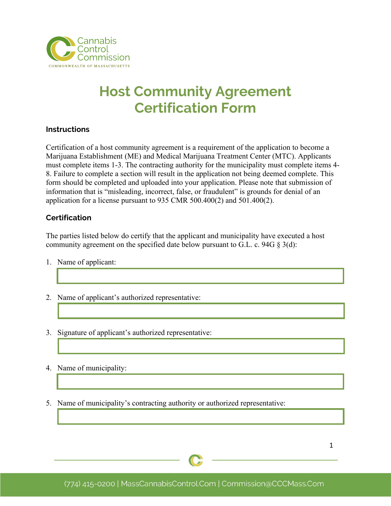

## **Host Community Agreement Certification Form**

## **Instructions**

Certification of a host community agreement is a requirement of the application to become a Marijuana Establishment (ME) and Medical Marijuana Treatment Center (MTC). Applicants must complete items 1-3. The contracting authority for the municipality must complete items 4- 8. Failure to complete a section will result in the application not being deemed complete. This form should be completed and uploaded into your application. Please note that submission of information that is "misleading, incorrect, false, or fraudulent" is grounds for denial of an application for a license pursuant to 935 CMR 500.400(2) and 501.400(2).

## **Certification**

The parties listed below do certify that the applicant and municipality have executed a host community agreement on the specified date below pursuant to G.L. c. 94G  $\S$  3(d):

- 1. Name of applicant:
- 2. Name of applicant's authorized representative:
- 3. Signature of applicant's authorized representative:
- 4. Name of municipality:
- 5. Name of municipality's contracting authority or authorized representative: